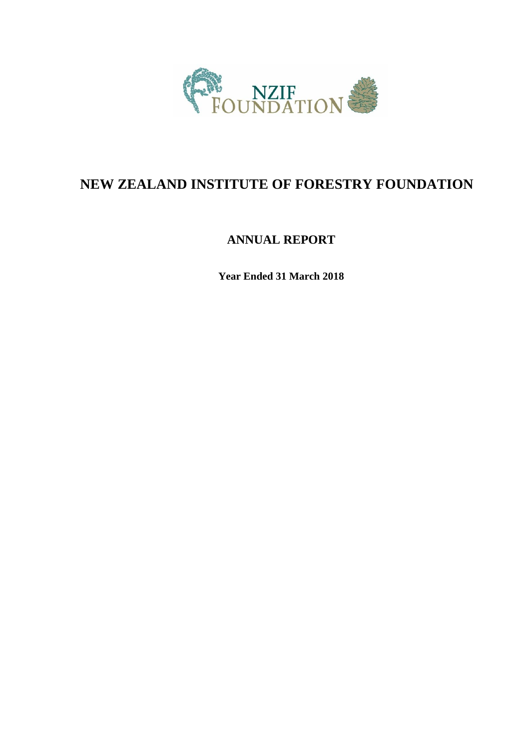

# **NEW ZEALAND INSTITUTE OF FORESTRY FOUNDATION**

## **ANNUAL REPORT**

**Year Ended 31 March 2018**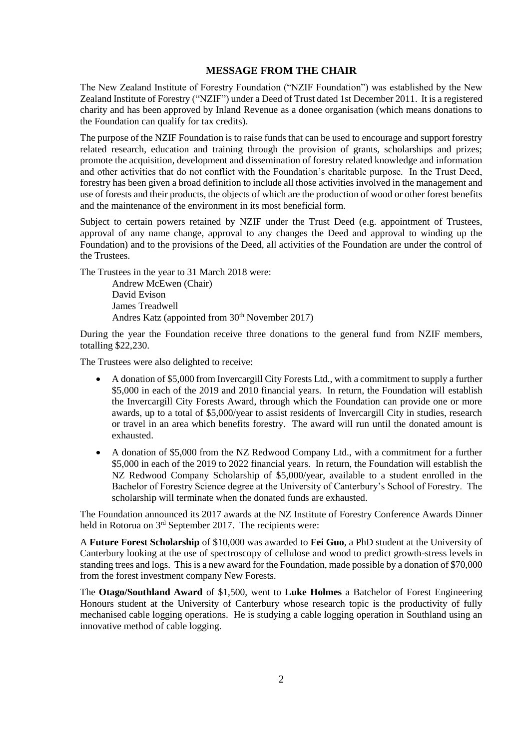#### **MESSAGE FROM THE CHAIR**

The New Zealand Institute of Forestry Foundation ("NZIF Foundation") was established by the New Zealand Institute of Forestry ("NZIF") under a Deed of Trust dated 1st December 2011. It is a registered charity and has been approved by Inland Revenue as a donee organisation (which means donations to the Foundation can qualify for tax credits).

The purpose of the NZIF Foundation is to raise funds that can be used to encourage and support forestry related research, education and training through the provision of grants, scholarships and prizes; promote the acquisition, development and dissemination of forestry related knowledge and information and other activities that do not conflict with the Foundation's charitable purpose. In the Trust Deed, forestry has been given a broad definition to include all those activities involved in the management and use of forests and their products, the objects of which are the production of wood or other forest benefits and the maintenance of the environment in its most beneficial form.

Subject to certain powers retained by NZIF under the Trust Deed (e.g. appointment of Trustees, approval of any name change, approval to any changes the Deed and approval to winding up the Foundation) and to the provisions of the Deed, all activities of the Foundation are under the control of the Trustees.

The Trustees in the year to 31 March 2018 were:

Andrew McEwen (Chair) David Evison James Treadwell Andres Katz (appointed from  $30<sup>th</sup>$  November 2017)

During the year the Foundation receive three donations to the general fund from NZIF members, totalling \$22,230.

The Trustees were also delighted to receive:

- A donation of \$5,000 from Invercargill City Forests Ltd., with a commitment to supply a further \$5,000 in each of the 2019 and 2010 financial years. In return, the Foundation will establish the Invercargill City Forests Award, through which the Foundation can provide one or more awards, up to a total of \$5,000/year to assist residents of Invercargill City in studies, research or travel in an area which benefits forestry. The award will run until the donated amount is exhausted.
- A donation of \$5,000 from the NZ Redwood Company Ltd., with a commitment for a further \$5,000 in each of the 2019 to 2022 financial years. In return, the Foundation will establish the NZ Redwood Company Scholarship of \$5,000/year, available to a student enrolled in the Bachelor of Forestry Science degree at the University of Canterbury's School of Forestry. The scholarship will terminate when the donated funds are exhausted.

The Foundation announced its 2017 awards at the NZ Institute of Forestry Conference Awards Dinner held in Rotorua on 3<sup>rd</sup> September 2017. The recipients were:

A **Future Forest Scholarship** of \$10,000 was awarded to **Fei Guo**, a PhD student at the University of Canterbury looking at the use of spectroscopy of cellulose and wood to predict growth-stress levels in standing trees and logs. This is a new award for the Foundation, made possible by a donation of \$70,000 from the forest investment company New Forests.

The **Otago/Southland Award** of \$1,500, went to **Luke Holmes** a Batchelor of Forest Engineering Honours student at the University of Canterbury whose research topic is the productivity of fully mechanised cable logging operations. He is studying a cable logging operation in Southland using an innovative method of cable logging.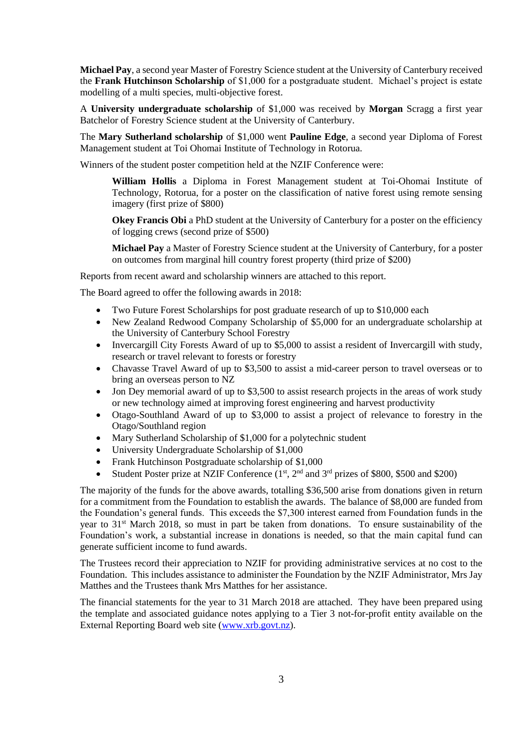**Michael Pay**, a second year Master of Forestry Science student at the University of Canterbury received the **Frank Hutchinson Scholarship** of \$1,000 for a postgraduate student. Michael's project is estate modelling of a multi species, multi-objective forest.

A **University undergraduate scholarship** of \$1,000 was received by **Morgan** Scragg a first year Batchelor of Forestry Science student at the University of Canterbury.

The **Mary Sutherland scholarship** of \$1,000 went **Pauline Edge**, a second year Diploma of Forest Management student at Toi Ohomai Institute of Technology in Rotorua.

Winners of the student poster competition held at the NZIF Conference were:

**William Hollis** a Diploma in Forest Management student at Toi-Ohomai Institute of Technology, Rotorua, for a poster on the classification of native forest using remote sensing imagery (first prize of \$800)

**Okey Francis Obi** a PhD student at the University of Canterbury for a poster on the efficiency of logging crews (second prize of \$500)

**Michael Pay** a Master of Forestry Science student at the University of Canterbury, for a poster on outcomes from marginal hill country forest property (third prize of \$200)

Reports from recent award and scholarship winners are attached to this report.

The Board agreed to offer the following awards in 2018:

- Two Future Forest Scholarships for post graduate research of up to \$10,000 each
- New Zealand Redwood Company Scholarship of \$5,000 for an undergraduate scholarship at the University of Canterbury School Forestry
- Invercargill City Forests Award of up to \$5,000 to assist a resident of Invercargill with study, research or travel relevant to forests or forestry
- Chavasse Travel Award of up to \$3,500 to assist a mid-career person to travel overseas or to bring an overseas person to NZ
- Jon Dey memorial award of up to \$3,500 to assist research projects in the areas of work study or new technology aimed at improving forest engineering and harvest productivity
- Otago-Southland Award of up to \$3,000 to assist a project of relevance to forestry in the Otago/Southland region
- Mary Sutherland Scholarship of \$1,000 for a polytechnic student
- University Undergraduate Scholarship of \$1,000
- Frank Hutchinson Postgraduate scholarship of \$1,000
- Student Poster prize at NZIF Conference  $(1<sup>st</sup>, 2<sup>nd</sup>$  and  $3<sup>rd</sup>$  prizes of \$800, \$500 and \$200)

The majority of the funds for the above awards, totalling \$36,500 arise from donations given in return for a commitment from the Foundation to establish the awards. The balance of \$8,000 are funded from the Foundation's general funds. This exceeds the \$7,300 interest earned from Foundation funds in the year to 31st March 2018, so must in part be taken from donations. To ensure sustainability of the Foundation's work, a substantial increase in donations is needed, so that the main capital fund can generate sufficient income to fund awards.

The Trustees record their appreciation to NZIF for providing administrative services at no cost to the Foundation. This includes assistance to administer the Foundation by the NZIF Administrator, Mrs Jay Matthes and the Trustees thank Mrs Matthes for her assistance.

The financial statements for the year to 31 March 2018 are attached. They have been prepared using the template and associated guidance notes applying to a Tier 3 not-for-profit entity available on the External Reporting Board web site [\(www.xrb.govt.nz\)](http://www.xrb.govt.nz/).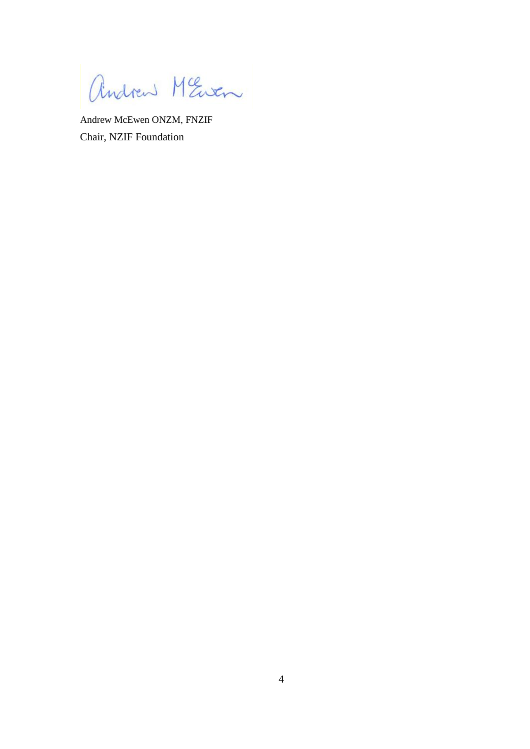andrew MEwen

Andrew McEwen ONZM, FNZIF Chair, NZIF Foundation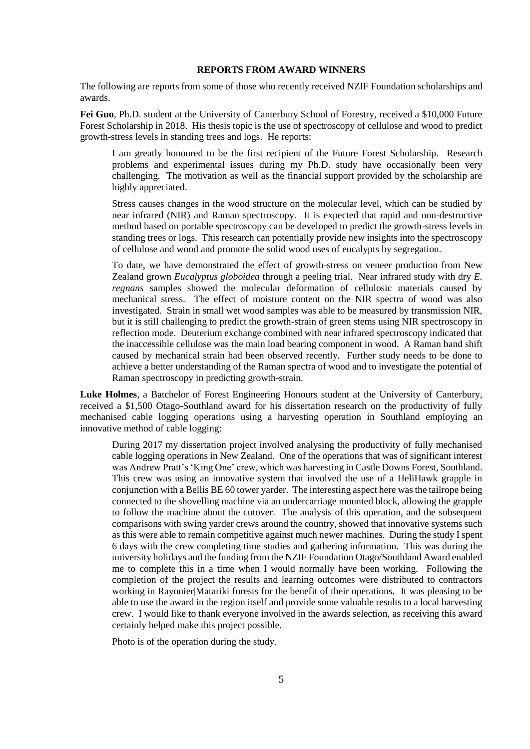#### **REPORTS FROM AWARD WINNERS**

The following are reports from some of those who recently received NZIF Foundation scholarships and awards.

**Fei Guo**, Ph.D. student at the University of Canterbury School of Forestry, received a \$10,000 Future Forest Scholarship in 2018. His thesis topic is the use of spectroscopy of cellulose and wood to predict growth-stress levels in standing trees and logs. He reports:

I am greatly honoured to be the first recipient of the Future Forest Scholarship. Research problems and experimental issues during my Ph.D. study have occasionally been very challenging. The motivation as well as the financial support provided by the scholarship are highly appreciated.

Stress causes changes in the wood structure on the molecular level, which can be studied by near infrared (NIR) and Raman spectroscopy. It is expected that rapid and non-destructive method based on portable spectroscopy can be developed to predict the growth-stress levels in standing trees or logs. This research can potentially provide new insights into the spectroscopy of cellulose and wood and promote the solid wood uses of eucalypts by segregation.

To date, we have demonstrated the effect of growth-stress on veneer production from New Zealand grown *Eucalyptus globoidea* through a peeling trial. Near infrared study with dry *E. regnans* samples showed the molecular deformation of cellulosic materials caused by mechanical stress. The effect of moisture content on the NIR spectra of wood was also investigated. Strain in small wet wood samples was able to be measured by transmission NIR, but it is still challenging to predict the growth-strain of green stems using NIR spectroscopy in reflection mode. Deuterium exchange combined with near infrared spectroscopy indicated that the inaccessible cellulose was the main load bearing component in wood. A Raman band shift caused by mechanical strain had been observed recently. Further study needs to be done to achieve a better understanding of the Raman spectra of wood and to investigate the potential of Raman spectroscopy in predicting growth-strain.

**Luke Holmes**, a Batchelor of Forest Engineering Honours student at the University of Canterbury, received a \$1,500 Otago-Southland award for his dissertation research on the productivity of fully mechanised cable logging operations using a harvesting operation in Southland employing an innovative method of cable logging:

During 2017 my dissertation project involved analysing the productivity of fully mechanised cable logging operations in New Zealand. One of the operations that was of significant interest was Andrew Pratt's 'King One' crew, which was harvesting in Castle Downs Forest, Southland. This crew was using an innovative system that involved the use of a HeliHawk grapple in conjunction with a Bellis BE 60 tower yarder. The interesting aspect here was the tailrope being connected to the shovelling machine via an undercarriage mounted block, allowing the grapple to follow the machine about the cutover. The analysis of this operation, and the subsequent comparisons with swing yarder crews around the country, showed that innovative systems such as this were able to remain competitive against much newer machines. During the study I spent 6 days with the crew completing time studies and gathering information. This was during the university holidays and the funding from the NZIF Foundation Otago/Southland Award enabled me to complete this in a time when I would normally have been working. Following the completion of the project the results and learning outcomes were distributed to contractors working in Rayonier|Matariki forests for the benefit of their operations. It was pleasing to be able to use the award in the region itself and provide some valuable results to a local harvesting crew. I would like to thank everyone involved in the awards selection, as receiving this award certainly helped make this project possible.

Photo is of the operation during the study.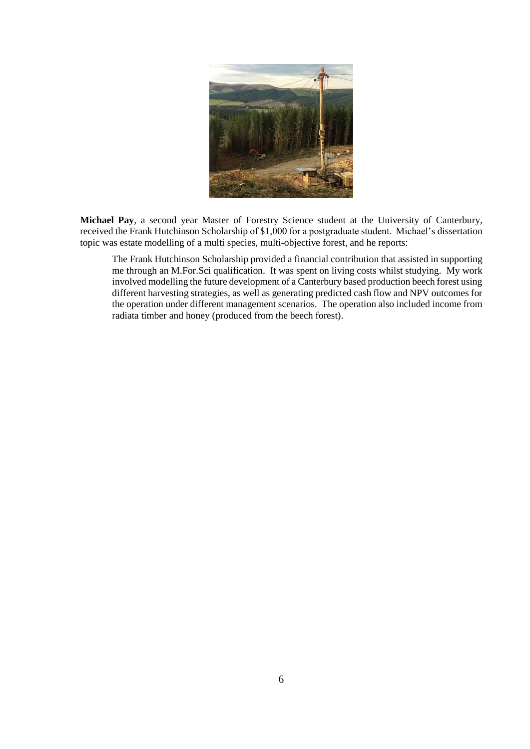

**Michael Pay**, a second year Master of Forestry Science student at the University of Canterbury, received the Frank Hutchinson Scholarship of \$1,000 for a postgraduate student. Michael's dissertation topic was estate modelling of a multi species, multi-objective forest, and he reports:

The Frank Hutchinson Scholarship provided a financial contribution that assisted in supporting me through an M.For.Sci qualification. It was spent on living costs whilst studying. My work involved modelling the future development of a Canterbury based production beech forest using different harvesting strategies, as well as generating predicted cash flow and NPV outcomes for the operation under different management scenarios. The operation also included income from radiata timber and honey (produced from the beech forest).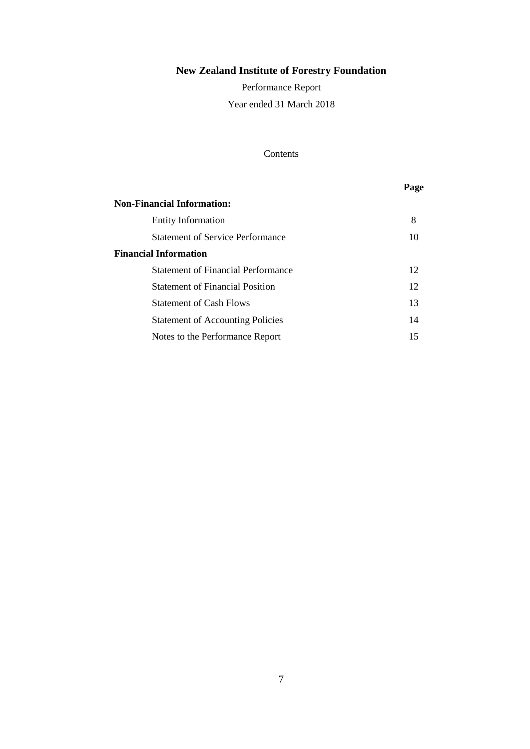Performance Report Year ended 31 March 2018

### Contents

## **Page**

| <b>Non-Financial Information:</b>         |    |
|-------------------------------------------|----|
| <b>Entity Information</b>                 | 8  |
| <b>Statement of Service Performance</b>   | 10 |
| <b>Financial Information</b>              |    |
| <b>Statement of Financial Performance</b> | 12 |
| <b>Statement of Financial Position</b>    | 12 |
| <b>Statement of Cash Flows</b>            | 13 |
| <b>Statement of Accounting Policies</b>   | 14 |
| Notes to the Performance Report           | 15 |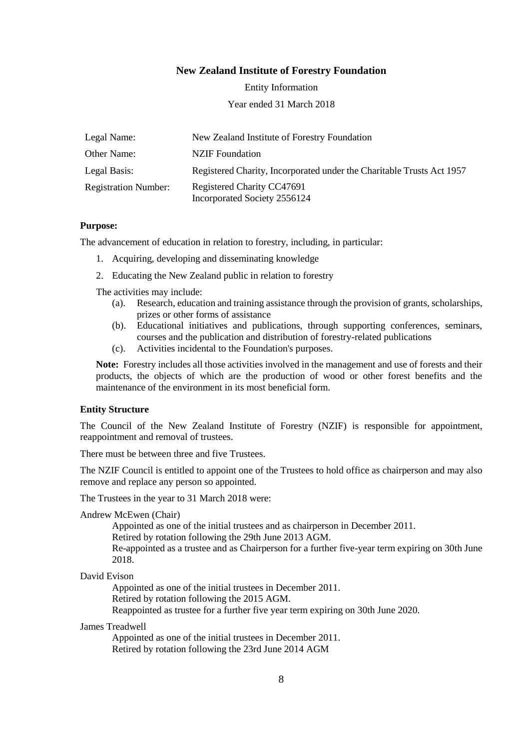Entity Information

Year ended 31 March 2018

| Legal Name:                 | New Zealand Institute of Forestry Foundation                          |
|-----------------------------|-----------------------------------------------------------------------|
| Other Name:                 | NZIF Foundation                                                       |
| Legal Basis:                | Registered Charity, Incorporated under the Charitable Trusts Act 1957 |
| <b>Registration Number:</b> | Registered Charity CC47691<br>Incorporated Society 2556124            |

#### **Purpose:**

The advancement of education in relation to forestry, including, in particular:

- 1. Acquiring, developing and disseminating knowledge
- 2. Educating the New Zealand public in relation to forestry

The activities may include:

- (a). Research, education and training assistance through the provision of grants, scholarships, prizes or other forms of assistance
- (b). Educational initiatives and publications, through supporting conferences, seminars, courses and the publication and distribution of forestry-related publications
- (c). Activities incidental to the Foundation's purposes.

**Note:** Forestry includes all those activities involved in the management and use of forests and their products, the objects of which are the production of wood or other forest benefits and the maintenance of the environment in its most beneficial form.

#### **Entity Structure**

The Council of the New Zealand Institute of Forestry (NZIF) is responsible for appointment, reappointment and removal of trustees.

There must be between three and five Trustees.

The NZIF Council is entitled to appoint one of the Trustees to hold office as chairperson and may also remove and replace any person so appointed.

The Trustees in the year to 31 March 2018 were:

#### Andrew McEwen (Chair)

Appointed as one of the initial trustees and as chairperson in December 2011.

Retired by rotation following the 29th June 2013 AGM.

Re-appointed as a trustee and as Chairperson for a further five-year term expiring on 30th June 2018.

David Evison

Appointed as one of the initial trustees in December 2011. Retired by rotation following the 2015 AGM. Reappointed as trustee for a further five year term expiring on 30th June 2020.

#### James Treadwell

Appointed as one of the initial trustees in December 2011. Retired by rotation following the 23rd June 2014 AGM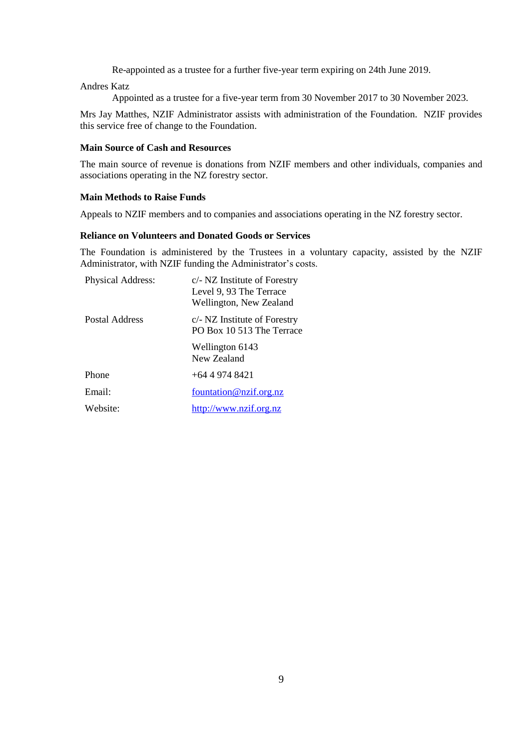Re-appointed as a trustee for a further five-year term expiring on 24th June 2019.

Andres Katz

Appointed as a trustee for a five-year term from 30 November 2017 to 30 November 2023.

Mrs Jay Matthes, NZIF Administrator assists with administration of the Foundation. NZIF provides this service free of change to the Foundation.

#### **Main Source of Cash and Resources**

The main source of revenue is donations from NZIF members and other individuals, companies and associations operating in the NZ forestry sector.

#### **Main Methods to Raise Funds**

Appeals to NZIF members and to companies and associations operating in the NZ forestry sector.

#### **Reliance on Volunteers and Donated Goods or Services**

The Foundation is administered by the Trustees in a voluntary capacity, assisted by the NZIF Administrator, with NZIF funding the Administrator's costs.

| <b>Physical Address:</b> | c/- NZ Institute of Forestry<br>Level 9, 93 The Terrace<br>Wellington, New Zealand |
|--------------------------|------------------------------------------------------------------------------------|
| Postal Address           | c/- NZ Institute of Forestry<br>PO Box 10.513 The Terrace                          |
|                          | Wellington 6143<br>New Zealand                                                     |
| Phone                    | $+64$ 4 974 8421                                                                   |
| Email:                   | fountation@nzif.org.nz                                                             |
| Website:                 | http://www.nzif.org.nz                                                             |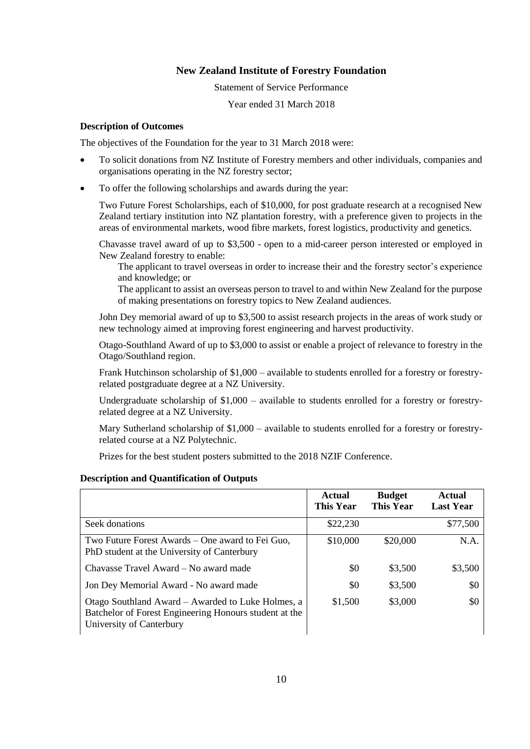Statement of Service Performance

Year ended 31 March 2018

#### **Description of Outcomes**

The objectives of the Foundation for the year to 31 March 2018 were:

- To solicit donations from NZ Institute of Forestry members and other individuals, companies and organisations operating in the NZ forestry sector;
- To offer the following scholarships and awards during the year:

Two Future Forest Scholarships, each of \$10,000, for post graduate research at a recognised New Zealand tertiary institution into NZ plantation forestry, with a preference given to projects in the areas of environmental markets, wood fibre markets, forest logistics, productivity and genetics.

Chavasse travel award of up to \$3,500 - open to a mid-career person interested or employed in New Zealand forestry to enable:

The applicant to travel overseas in order to increase their and the forestry sector's experience and knowledge; or

The applicant to assist an overseas person to travel to and within New Zealand for the purpose of making presentations on forestry topics to New Zealand audiences.

John Dey memorial award of up to \$3,500 to assist research projects in the areas of work study or new technology aimed at improving forest engineering and harvest productivity.

Otago-Southland Award of up to \$3,000 to assist or enable a project of relevance to forestry in the Otago/Southland region.

Frank Hutchinson scholarship of \$1,000 – available to students enrolled for a forestry or forestryrelated postgraduate degree at a NZ University.

Undergraduate scholarship of \$1,000 – available to students enrolled for a forestry or forestryrelated degree at a NZ University.

Mary Sutherland scholarship of \$1,000 – available to students enrolled for a forestry or forestryrelated course at a NZ Polytechnic.

Prizes for the best student posters submitted to the 2018 NZIF Conference.

#### **Description and Quantification of Outputs**

|                                                                                                                                         | <b>Actual</b><br><b>This Year</b> | <b>Budget</b><br><b>This Year</b> | <b>Actual</b><br><b>Last Year</b> |
|-----------------------------------------------------------------------------------------------------------------------------------------|-----------------------------------|-----------------------------------|-----------------------------------|
| Seek donations                                                                                                                          | \$22,230                          |                                   | \$77,500                          |
| Two Future Forest Awards – One award to Fei Guo,<br>PhD student at the University of Canterbury                                         | \$10,000                          | \$20,000                          | N.A.                              |
| Chavasse Travel Award – No award made                                                                                                   | \$0                               | \$3,500                           | \$3,500                           |
| Jon Dey Memorial Award - No award made                                                                                                  | \$0                               | \$3,500                           | \$0                               |
| Otago Southland Award – Awarded to Luke Holmes, a<br>Batchelor of Forest Engineering Honours student at the<br>University of Canterbury | \$1,500                           | \$3,000                           | \$0                               |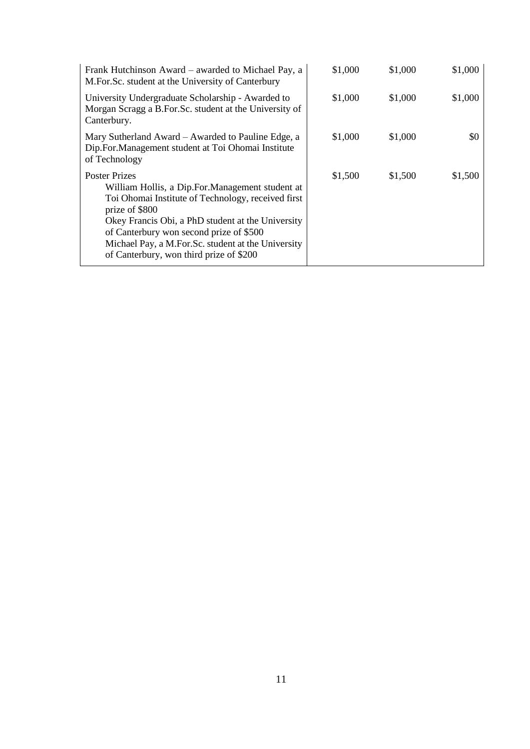| Frank Hutchinson Award – awarded to Michael Pay, a<br>M.For.Sc. student at the University of Canterbury                                                                                                                                                                                                                                            | \$1,000 | \$1,000 | \$1,000   |
|----------------------------------------------------------------------------------------------------------------------------------------------------------------------------------------------------------------------------------------------------------------------------------------------------------------------------------------------------|---------|---------|-----------|
| University Undergraduate Scholarship - Awarded to<br>Morgan Scragg a B.For.Sc. student at the University of<br>Canterbury.                                                                                                                                                                                                                         | \$1,000 | \$1,000 | \$1,000   |
| Mary Sutherland Award – Awarded to Pauline Edge, a<br>Dip.For.Management student at Toi Ohomai Institute<br>of Technology                                                                                                                                                                                                                          | \$1,000 | \$1,000 | <b>SO</b> |
| <b>Poster Prizes</b><br>William Hollis, a Dip. For. Management student at<br>Toi Ohomai Institute of Technology, received first<br>prize of \$800<br>Okey Francis Obi, a PhD student at the University<br>of Canterbury won second prize of \$500<br>Michael Pay, a M.For.Sc. student at the University<br>of Canterbury, won third prize of \$200 | \$1,500 | \$1,500 | \$1,500   |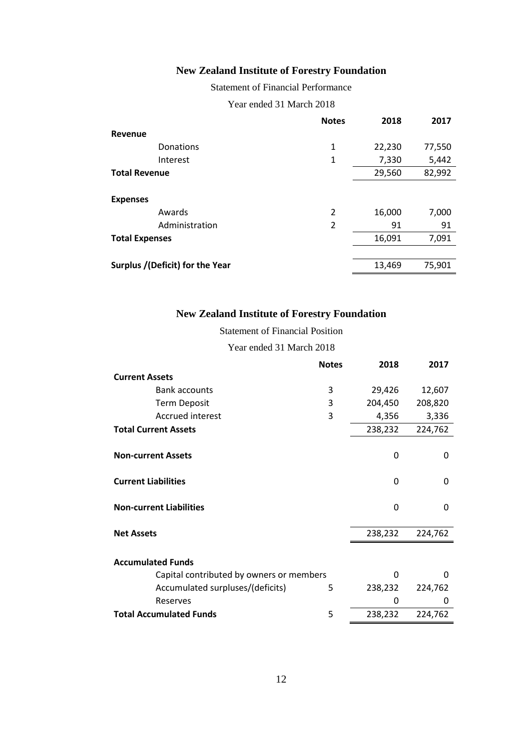Statement of Financial Performance

Year ended 31 March 2018

|                                 | <b>Notes</b> | 2018   | 2017   |
|---------------------------------|--------------|--------|--------|
| Revenue                         |              |        |        |
| Donations                       | 1            | 22,230 | 77,550 |
| Interest                        | 1            | 7,330  | 5,442  |
| <b>Total Revenue</b>            |              | 29,560 | 82,992 |
|                                 |              |        |        |
| <b>Expenses</b>                 |              |        |        |
| Awards                          | 2            | 16,000 | 7,000  |
| Administration                  | 2            | 91     | 91     |
| <b>Total Expenses</b>           |              | 16,091 | 7,091  |
|                                 |              |        |        |
| Surplus /(Deficit) for the Year |              | 13,469 | 75,901 |

## **New Zealand Institute of Forestry Foundation**

#### Statement of Financial Position

Year ended 31 March 2018

|                                          | <b>Notes</b> | 2018    | 2017    |
|------------------------------------------|--------------|---------|---------|
| <b>Current Assets</b>                    |              |         |         |
| <b>Bank accounts</b>                     | 3            | 29,426  | 12,607  |
| <b>Term Deposit</b>                      | 3            | 204,450 | 208,820 |
| <b>Accrued interest</b>                  | 3            | 4,356   | 3,336   |
| <b>Total Current Assets</b>              |              | 238,232 | 224,762 |
| <b>Non-current Assets</b>                |              | 0       | 0       |
| <b>Current Liabilities</b>               |              | 0       | 0       |
| <b>Non-current Liabilities</b>           |              | 0       | 0       |
| <b>Net Assets</b>                        |              | 238,232 | 224,762 |
| <b>Accumulated Funds</b>                 |              |         |         |
| Capital contributed by owners or members |              | 0       | 0       |
| Accumulated surpluses/(deficits)         | 5            | 238,232 | 224,762 |
| Reserves                                 |              | 0       | 0       |
| <b>Total Accumulated Funds</b>           | 5            | 238,232 | 224,762 |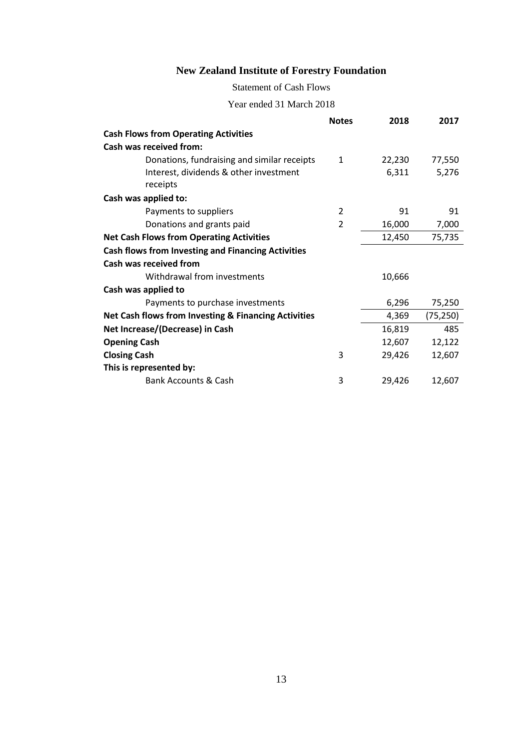## Statement of Cash Flows

Year ended 31 March 2018

|                                                           | <b>Notes</b>   | 2018   | 2017      |
|-----------------------------------------------------------|----------------|--------|-----------|
| <b>Cash Flows from Operating Activities</b>               |                |        |           |
| Cash was received from:                                   |                |        |           |
| Donations, fundraising and similar receipts               | $\mathbf{1}$   | 22,230 | 77,550    |
| Interest, dividends & other investment                    |                | 6,311  | 5,276     |
| receipts                                                  |                |        |           |
| Cash was applied to:                                      |                |        |           |
| Payments to suppliers                                     | 2              | 91     | 91        |
| Donations and grants paid                                 | $\overline{2}$ | 16,000 | 7,000     |
| <b>Net Cash Flows from Operating Activities</b>           |                | 12,450 | 75,735    |
| <b>Cash flows from Investing and Financing Activities</b> |                |        |           |
| Cash was received from                                    |                |        |           |
| Withdrawal from investments                               |                | 10,666 |           |
| Cash was applied to                                       |                |        |           |
| Payments to purchase investments                          |                | 6,296  | 75,250    |
| Net Cash flows from Investing & Financing Activities      |                | 4,369  | (75, 250) |
| Net Increase/(Decrease) in Cash                           |                | 16,819 | 485       |
| <b>Opening Cash</b>                                       |                | 12,607 | 12,122    |
| <b>Closing Cash</b>                                       | 3              | 29,426 | 12,607    |
| This is represented by:                                   |                |        |           |
| <b>Bank Accounts &amp; Cash</b>                           | 3              | 29,426 | 12,607    |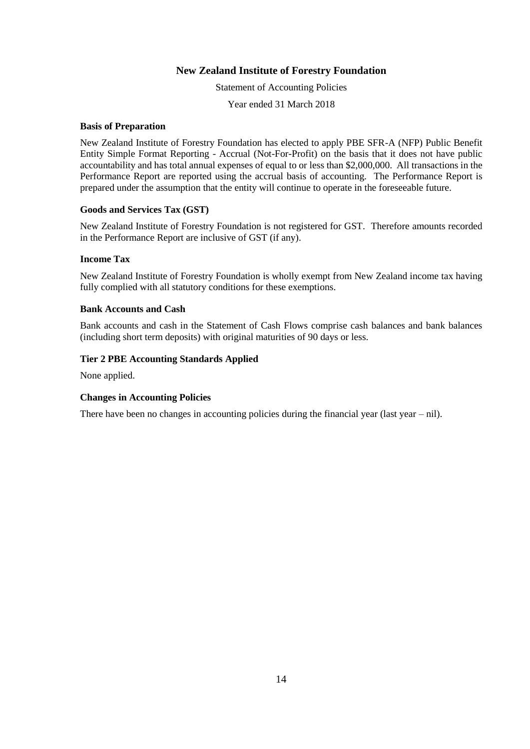Statement of Accounting Policies

Year ended 31 March 2018

#### **Basis of Preparation**

New Zealand Institute of Forestry Foundation has elected to apply PBE SFR-A (NFP) Public Benefit Entity Simple Format Reporting - Accrual (Not-For-Profit) on the basis that it does not have public accountability and has total annual expenses of equal to or less than \$2,000,000. All transactions in the Performance Report are reported using the accrual basis of accounting. The Performance Report is prepared under the assumption that the entity will continue to operate in the foreseeable future.

#### **Goods and Services Tax (GST)**

New Zealand Institute of Forestry Foundation is not registered for GST. Therefore amounts recorded in the Performance Report are inclusive of GST (if any).

#### **Income Tax**

New Zealand Institute of Forestry Foundation is wholly exempt from New Zealand income tax having fully complied with all statutory conditions for these exemptions.

#### **Bank Accounts and Cash**

Bank accounts and cash in the Statement of Cash Flows comprise cash balances and bank balances (including short term deposits) with original maturities of 90 days or less.

#### **Tier 2 PBE Accounting Standards Applied**

None applied.

#### **Changes in Accounting Policies**

There have been no changes in accounting policies during the financial year (last year – nil).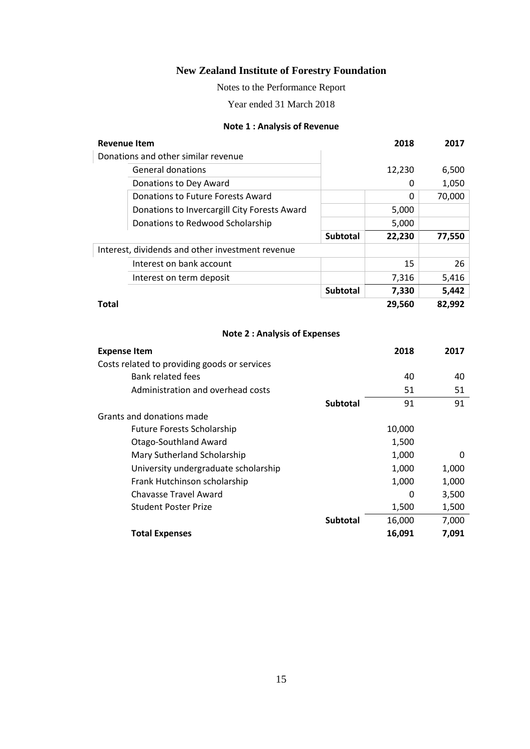Notes to the Performance Report

Year ended 31 March 2018

#### **Note 1 : Analysis of Revenue**

| <b>Revenue Item</b> |                                                  |                 | 2018   | 2017   |
|---------------------|--------------------------------------------------|-----------------|--------|--------|
|                     | Donations and other similar revenue              |                 |        |        |
|                     | <b>General donations</b>                         |                 | 12,230 | 6,500  |
|                     | Donations to Dey Award                           |                 | 0      | 1,050  |
|                     | Donations to Future Forests Award                |                 | ŋ      | 70,000 |
|                     | Donations to Invercargill City Forests Award     |                 | 5,000  |        |
|                     | Donations to Redwood Scholarship                 |                 | 5,000  |        |
|                     |                                                  | <b>Subtotal</b> | 22,230 | 77,550 |
|                     | Interest, dividends and other investment revenue |                 |        |        |
|                     | Interest on bank account                         |                 | 15     | 26     |
|                     | Interest on term deposit                         |                 | 7,316  | 5,416  |
|                     |                                                  | <b>Subtotal</b> | 7,330  | 5,442  |
| Total               |                                                  |                 | 29,560 | 82,992 |
|                     |                                                  |                 |        |        |

## **Note 2 : Analysis of Expenses**

| <b>Expense Item</b>                          |                 | 2018   | 2017  |
|----------------------------------------------|-----------------|--------|-------|
| Costs related to providing goods or services |                 |        |       |
| <b>Bank related fees</b>                     |                 | 40     | 40    |
| Administration and overhead costs            |                 | 51     | 51    |
|                                              | <b>Subtotal</b> | 91     | 91    |
| Grants and donations made                    |                 |        |       |
| <b>Future Forests Scholarship</b>            |                 | 10,000 |       |
| Otago-Southland Award                        |                 | 1,500  |       |
| Mary Sutherland Scholarship                  |                 | 1,000  | 0     |
| University undergraduate scholarship         |                 | 1,000  | 1,000 |
| Frank Hutchinson scholarship                 |                 | 1,000  | 1,000 |
| <b>Chavasse Travel Award</b>                 |                 | 0      | 3,500 |
| <b>Student Poster Prize</b>                  |                 | 1,500  | 1,500 |
|                                              | <b>Subtotal</b> | 16,000 | 7,000 |
| <b>Total Expenses</b>                        |                 | 16,091 | 7,091 |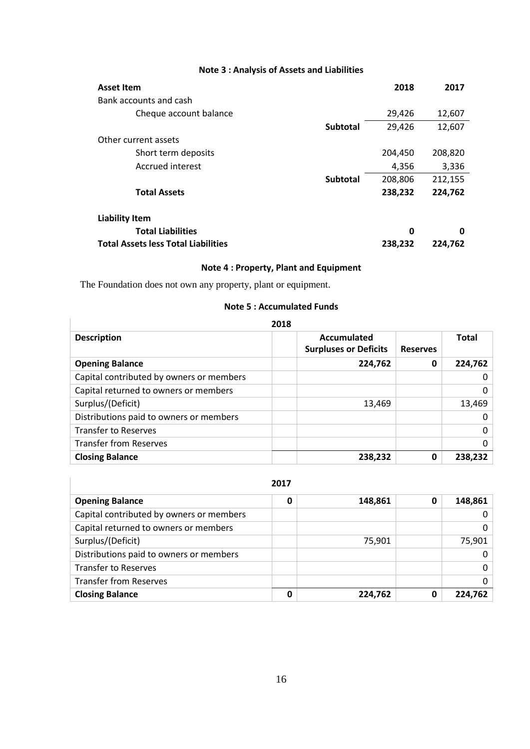## **Note 3 : Analysis of Assets and Liabilities**

| <b>Asset Item</b>                          |                 | 2018    | 2017    |
|--------------------------------------------|-----------------|---------|---------|
| Bank accounts and cash                     |                 |         |         |
| Cheque account balance                     |                 | 29,426  | 12,607  |
|                                            | <b>Subtotal</b> | 29,426  | 12,607  |
| Other current assets                       |                 |         |         |
| Short term deposits                        |                 | 204,450 | 208,820 |
| Accrued interest                           |                 | 4,356   | 3,336   |
|                                            | <b>Subtotal</b> | 208,806 | 212,155 |
| <b>Total Assets</b>                        |                 | 238,232 | 224,762 |
| <b>Liability Item</b>                      |                 |         |         |
| <b>Total Liabilities</b>                   |                 | 0       | 0       |
| <b>Total Assets less Total Liabilities</b> |                 | 238,232 | 224,762 |

### **Note 4 : Property, Plant and Equipment**

The Foundation does not own any property, plant or equipment.

#### **Note 5 : Accumulated Funds**

| 2018                                     |                                             |                 |              |  |
|------------------------------------------|---------------------------------------------|-----------------|--------------|--|
| <b>Description</b>                       | Accumulated<br><b>Surpluses or Deficits</b> | <b>Reserves</b> | <b>Total</b> |  |
| <b>Opening Balance</b>                   | 224,762                                     | 0               | 224,762      |  |
| Capital contributed by owners or members |                                             |                 | $\mathbf{0}$ |  |
| Capital returned to owners or members    |                                             |                 | 0            |  |
| Surplus/(Deficit)                        | 13,469                                      |                 | 13,469       |  |
| Distributions paid to owners or members  |                                             |                 | $\mathbf{0}$ |  |
| <b>Transfer to Reserves</b>              |                                             |                 | 0            |  |
| <b>Transfer from Reserves</b>            |                                             |                 | 0            |  |
| <b>Closing Balance</b>                   | 238,232                                     | 0               | 238,232      |  |

**2017**

| <b>Opening Balance</b>                   | 0 | 148,861 | 0 | 148,861  |
|------------------------------------------|---|---------|---|----------|
| Capital contributed by owners or members |   |         |   | 0        |
| Capital returned to owners or members    |   |         |   | 0        |
| Surplus/(Deficit)                        |   | 75,901  |   | 75,901   |
| Distributions paid to owners or members  |   |         |   | 0        |
| <b>Transfer to Reserves</b>              |   |         |   | $\Omega$ |
| <b>Transfer from Reserves</b>            |   |         |   | 0        |
| <b>Closing Balance</b>                   |   | 224,762 | 0 | 224.762  |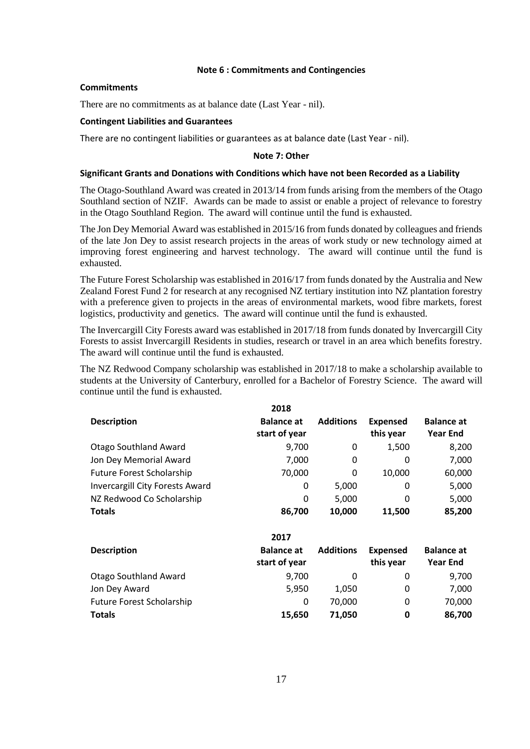#### **Note 6 : Commitments and Contingencies**

#### **Commitments**

There are no commitments as at balance date (Last Year - nil).

#### **Contingent Liabilities and Guarantees**

There are no contingent liabilities or guarantees as at balance date (Last Year - nil).

#### **Note 7: Other**

#### **Significant Grants and Donations with Conditions which have not been Recorded as a Liability**

The Otago-Southland Award was created in 2013/14 from funds arising from the members of the Otago Southland section of NZIF. Awards can be made to assist or enable a project of relevance to forestry in the Otago Southland Region. The award will continue until the fund is exhausted.

The Jon Dey Memorial Award was established in 2015/16 from funds donated by colleagues and friends of the late Jon Dey to assist research projects in the areas of work study or new technology aimed at improving forest engineering and harvest technology. The award will continue until the fund is exhausted.

The Future Forest Scholarship was established in 2016/17 from funds donated by the Australia and New Zealand Forest Fund 2 for research at any recognised NZ tertiary institution into NZ plantation forestry with a preference given to projects in the areas of environmental markets, wood fibre markets, forest logistics, productivity and genetics. The award will continue until the fund is exhausted.

The Invercargill City Forests award was established in 2017/18 from funds donated by Invercargill City Forests to assist Invercargill Residents in studies, research or travel in an area which benefits forestry. The award will continue until the fund is exhausted.

The NZ Redwood Company scholarship was established in 2017/18 to make a scholarship available to students at the University of Canterbury, enrolled for a Bachelor of Forestry Science. The award will continue until the fund is exhausted.

|                                  | 2018                               |                  |                              |                                      |
|----------------------------------|------------------------------------|------------------|------------------------------|--------------------------------------|
| <b>Description</b>               | <b>Balance at</b><br>start of year | <b>Additions</b> | <b>Expensed</b><br>this year | <b>Balance at</b><br><b>Year End</b> |
| <b>Otago Southland Award</b>     | 9,700                              | 0                | 1,500                        | 8,200                                |
| Jon Dey Memorial Award           | 7,000                              | 0                | 0                            | 7,000                                |
| <b>Future Forest Scholarship</b> | 70,000                             | 0                | 10,000                       | 60,000                               |
| Invercargill City Forests Award  | 0                                  | 5,000            | 0                            | 5,000                                |
| NZ Redwood Co Scholarship        | 0                                  | 5,000            | 0                            | 5,000                                |
| <b>Totals</b>                    | 86,700                             | 10,000           | 11,500                       | 85,200                               |

|                                  | 2017                               |                  |                              |                                      |
|----------------------------------|------------------------------------|------------------|------------------------------|--------------------------------------|
| <b>Description</b>               | <b>Balance at</b><br>start of year | <b>Additions</b> | <b>Expensed</b><br>this year | <b>Balance at</b><br><b>Year End</b> |
| <b>Otago Southland Award</b>     | 9,700                              | 0                | 0                            | 9,700                                |
| Jon Dey Award                    | 5,950                              | 1,050            | 0                            | 7,000                                |
| <b>Future Forest Scholarship</b> | 0                                  | 70.000           | 0                            | 70,000                               |
| <b>Totals</b>                    | 15,650                             | 71.050           | 0                            | 86,700                               |